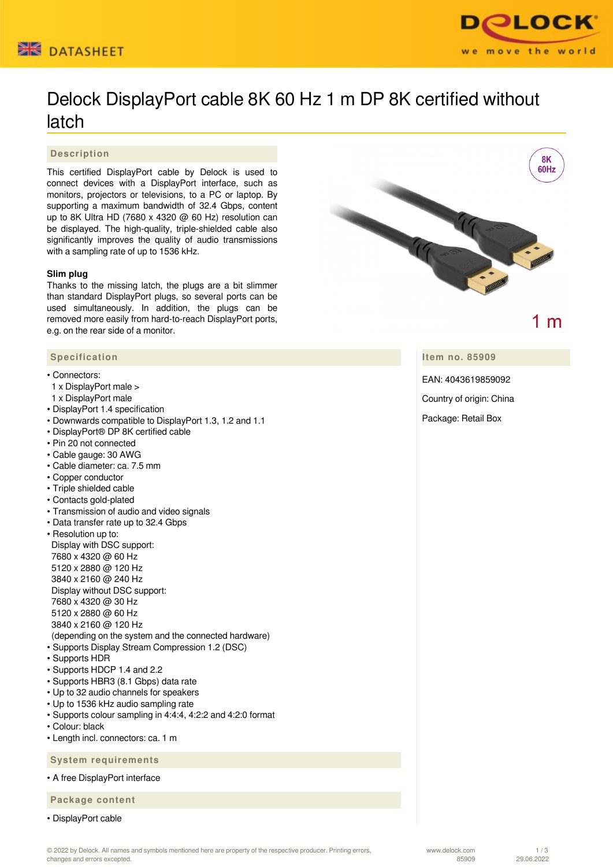



# Delock DisplayPort cable 8K 60 Hz 1 m DP 8K certified without latch

### **Description**

This certified DisplayPort cable by Delock is used to connect devices with a DisplayPort interface, such as monitors, projectors or televisions, to a PC or laptop. By supporting a maximum bandwidth of 32.4 Gbps, content up to 8K Ultra HD (7680 x 4320 @ 60 Hz) resolution can be displayed. The high-quality, triple-shielded cable also significantly improves the quality of audio transmissions with a sampling rate of up to 1536 kHz.

#### **Slim plug**

Thanks to the missing latch, the plugs are a bit slimmer than standard DisplayPort plugs, so several ports can be used simultaneously. In addition, the plugs can be removed more easily from hard-to-reach DisplayPort ports, e.g. on the rear side of a monitor.

#### **Specification**

#### • Connectors:

- 1 x DisplayPort male >
- 1 x DisplayPort male
- DisplayPort 1.4 specification
- Downwards compatible to DisplayPort 1.3, 1.2 and 1.1
- DisplayPort® DP 8K certified cable
- Pin 20 not connected
- Cable gauge: 30 AWG
- Cable diameter: ca. 7.5 mm
- Copper conductor
- Triple shielded cable
- Contacts gold-plated
- Transmission of audio and video signals
- Data transfer rate up to 32.4 Gbps
- Resolution up to: Display with DSC support: 7680 x 4320 @ 60 Hz 5120 x 2880 @ 120 Hz 3840 x 2160 @ 240 Hz Display without DSC support: 7680 x 4320 @ 30 Hz 5120 x 2880 @ 60 Hz 3840 x 2160 @ 120 Hz (depending on the system and the connected hardware) • Supports Display Stream Compression 1.2 (DSC)
- Supports HDR
- Supports HDCP 1.4 and 2.2
- Supports HBR3 (8.1 Gbps) data rate
- Up to 32 audio channels for speakers
- Up to 1536 kHz audio sampling rate
- Supports colour sampling in 4:4:4, 4:2:2 and 4:2:0 format
- Colour: black
- Length incl. connectors: ca. 1 m

 **System requirements**

• A free DisplayPort interface

 **Package content**

• DisplayPort cable



 $1<sub>m</sub>$ 

**Item no. 85909**

EAN: 4043619859092

Country of origin: China

Package: Retail Box

1 / 3 29.06.2022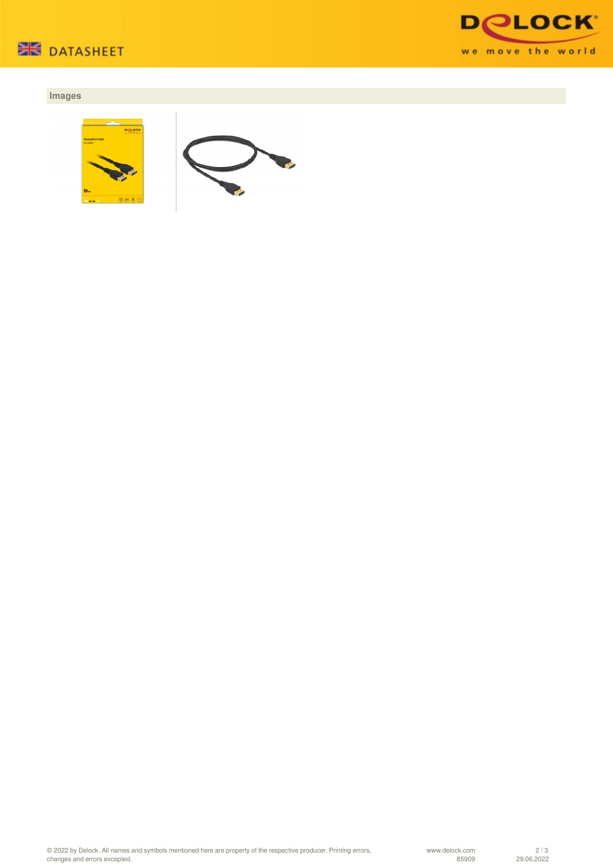



## **Images**